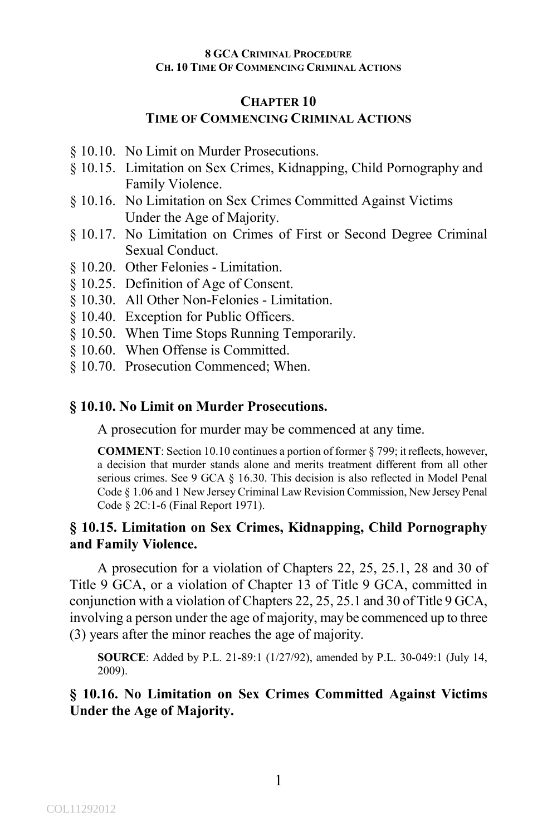### **CHAPTER 10 TIME OF COMMENCING CRIMINAL ACTIONS**

- § 10.10. No Limit on Murder Prosecutions.
- § 10.15. Limitation on Sex Crimes, Kidnapping, Child Pornography and Family Violence.
- § 10.16. No Limitation on Sex Crimes Committed Against Victims Under the Age of Majority.
- § 10.17. No Limitation on Crimes of First or Second Degree Criminal Sexual Conduct.
- § 10.20. Other Felonies Limitation.
- § 10.25. Definition of Age of Consent.
- § 10.30. All Other Non-Felonies Limitation.
- § 10.40. Exception for Public Officers.
- § 10.50. When Time Stops Running Temporarily.
- § 10.60. When Offense is Committed.
- § 10.70. Prosecution Commenced; When.

#### **§ 10.10. No Limit on Murder Prosecutions.**

A prosecution for murder may be commenced at any time.

**COMMENT**: Section 10.10 continues a portion of former § 799; it reflects, however, a decision that murder stands alone and merits treatment different from all other serious crimes. See 9 GCA § 16.30. This decision is also reflected in Model Penal Code § 1.06 and 1 New Jersey Criminal Law Revision Commission, New Jersey Penal Code § 2C:1-6 (Final Report 1971).

## **§ 10.15. Limitation on Sex Crimes, Kidnapping, Child Pornography and Family Violence.**

A prosecution for a violation of Chapters 22, 25, 25.1, 28 and 30 of Title 9 GCA, or a violation of Chapter 13 of Title 9 GCA, committed in conjunction with a violation of Chapters 22, 25, 25.1 and 30 of Title 9 GCA, involving a person under the age of majority, may be commenced up to three (3) years after the minor reaches the age of majority.

**SOURCE**: Added by P.L. 21-89:1 (1/27/92), amended by P.L. 30-049:1 (July 14, 2009).

## **§ 10.16. No Limitation on Sex Crimes Committed Against Victims Under the Age of Majority.**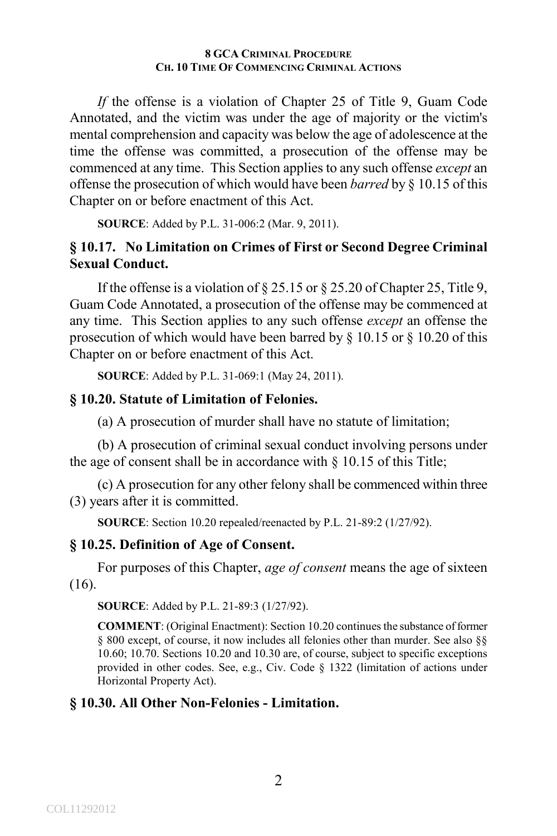*If* the offense is a violation of Chapter 25 of Title 9, Guam Code Annotated, and the victim was under the age of majority or the victim's mental comprehension and capacity was below the age of adolescence at the time the offense was committed, a prosecution of the offense may be commenced at any time. This Section applies to any such offense *except* an offense the prosecution of which would have been *barred* by § 10.15 of this Chapter on or before enactment of this Act.

**SOURCE**: Added by P.L. 31-006:2 (Mar. 9, 2011).

## **§ 10.17. No Limitation on Crimes of First or Second Degree Criminal Sexual Conduct.**

If the offense is a violation of  $\S 25.15$  or  $\S 25.20$  of Chapter 25, Title 9, Guam Code Annotated, a prosecution of the offense may be commenced at any time. This Section applies to any such offense *except* an offense the prosecution of which would have been barred by § 10.15 or § 10.20 of this Chapter on or before enactment of this Act.

**SOURCE**: Added by P.L. 31-069:1 (May 24, 2011).

#### **§ 10.20. Statute of Limitation of Felonies.**

(a) A prosecution of murder shall have no statute of limitation;

(b) A prosecution of criminal sexual conduct involving persons under the age of consent shall be in accordance with § 10.15 of this Title;

(c) A prosecution for any other felony shall be commenced within three (3) years after it is committed.

**SOURCE**: Section 10.20 repealed/reenacted by P.L. 21-89:2 (1/27/92).

## **§ 10.25. Definition of Age of Consent.**

For purposes of this Chapter, *age of consent* means the age of sixteen (16).

**SOURCE**: Added by P.L. 21-89:3 (1/27/92).

**COMMENT**: (Original Enactment): Section 10.20 continues the substance of former § 800 except, of course, it now includes all felonies other than murder. See also §§ 10.60; 10.70. Sections 10.20 and 10.30 are, of course, subject to specific exceptions provided in other codes. See, e.g., Civ. Code § 1322 (limitation of actions under Horizontal Property Act).

## **§ 10.30. All Other Non-Felonies - Limitation.**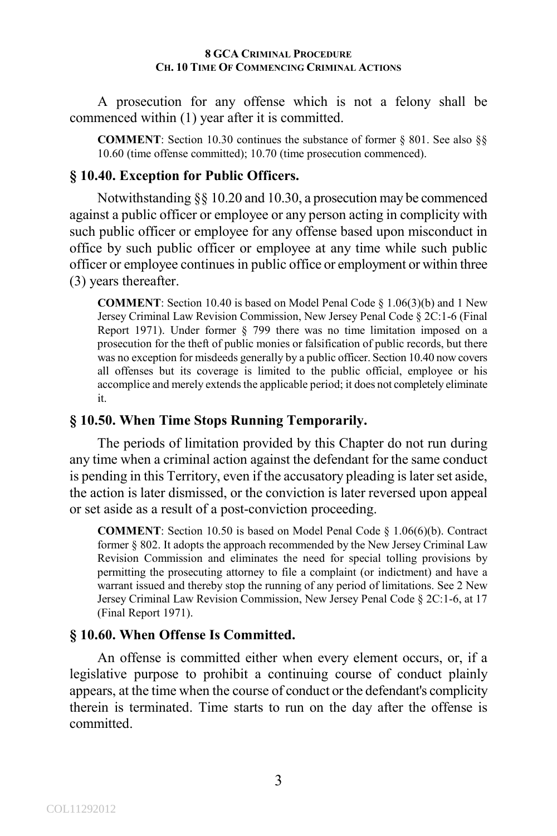A prosecution for any offense which is not a felony shall be commenced within (1) year after it is committed.

**COMMENT**: Section 10.30 continues the substance of former § 801. See also §§ 10.60 (time offense committed); 10.70 (time prosecution commenced).

## **§ 10.40. Exception for Public Officers.**

Notwithstanding §§ 10.20 and 10.30, a prosecution may be commenced against a public officer or employee or any person acting in complicity with such public officer or employee for any offense based upon misconduct in office by such public officer or employee at any time while such public officer or employee continues in public office or employment or within three (3) years thereafter.

**COMMENT**: Section 10.40 is based on Model Penal Code § 1.06(3)(b) and 1 New Jersey Criminal Law Revision Commission, New Jersey Penal Code § 2C:1-6 (Final Report 1971). Under former § 799 there was no time limitation imposed on a prosecution for the theft of public monies or falsification of public records, but there was no exception for misdeeds generally by a public officer. Section 10.40 now covers all offenses but its coverage is limited to the public official, employee or his accomplice and merely extends the applicable period; it does not completely eliminate it.

# **§ 10.50. When Time Stops Running Temporarily.**

The periods of limitation provided by this Chapter do not run during any time when a criminal action against the defendant for the same conduct is pending in this Territory, even if the accusatory pleading is later set aside, the action is later dismissed, or the conviction is later reversed upon appeal or set aside as a result of a post-conviction proceeding.

**COMMENT**: Section 10.50 is based on Model Penal Code § 1.06(6)(b). Contract former § 802. It adopts the approach recommended by the New Jersey Criminal Law Revision Commission and eliminates the need for special tolling provisions by permitting the prosecuting attorney to file a complaint (or indictment) and have a warrant issued and thereby stop the running of any period of limitations. See 2 New Jersey Criminal Law Revision Commission, New Jersey Penal Code § 2C:1-6, at 17 (Final Report 1971).

# **§ 10.60. When Offense Is Committed.**

An offense is committed either when every element occurs, or, if a legislative purpose to prohibit a continuing course of conduct plainly appears, at the time when the course of conduct or the defendant's complicity therein is terminated. Time starts to run on the day after the offense is committed.